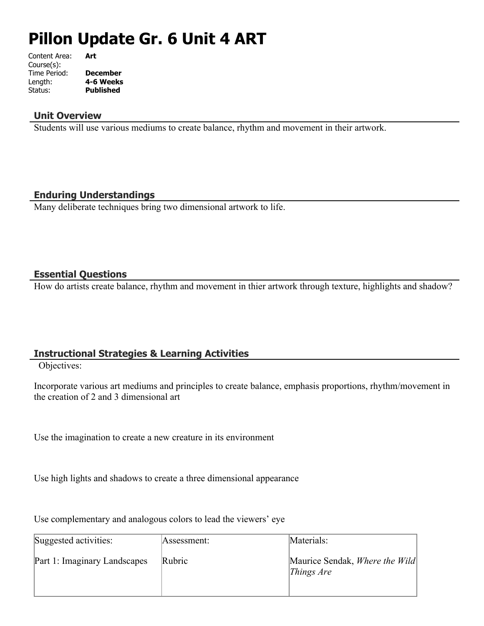# **Pillon Update Gr. 6 Unit 4 ART**

| Content Area: | Art              |
|---------------|------------------|
| Course(s):    |                  |
| Time Period:  | <b>December</b>  |
| Length:       | 4-6 Weeks        |
| Status:       | <b>Published</b> |
|               |                  |

#### **Unit Overview**

Students will use various mediums to create balance, rhythm and movement in their artwork.

### **Enduring Understandings**

Many deliberate techniques bring two dimensional artwork to life.

#### **Essential Questions**

How do artists create balance, rhythm and movement in thier artwork through texture, highlights and shadow?

## **Instructional Strategies & Learning Activities**

Objectives:

Incorporate various art mediums and principles to create balance, emphasis proportions, rhythm/movement in the creation of 2 and 3 dimensional art

Use the imagination to create a new creature in its environment

Use high lights and shadows to create a three dimensional appearance

Use complementary and analogous colors to lead the viewers' eye

| Suggested activities:        | Assessment: | Materials:                                                       |
|------------------------------|-------------|------------------------------------------------------------------|
| Part 1: Imaginary Landscapes | Rubric      | Maurice Sendak, Where the Wild<br><i>Things <math>Are</math></i> |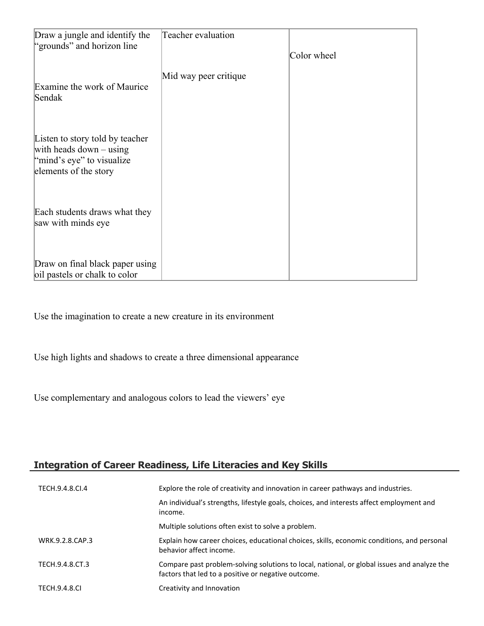| Draw a jungle and identify the                                   | Teacher evaluation    |             |
|------------------------------------------------------------------|-----------------------|-------------|
| "grounds" and horizon line                                       |                       | Color wheel |
|                                                                  | Mid way peer critique |             |
| Examine the work of Maurice                                      |                       |             |
| Sendak                                                           |                       |             |
|                                                                  |                       |             |
| Listen to story told by teacher                                  |                       |             |
| with heads down $-$ using<br>"mind's eye" to visualize"          |                       |             |
| elements of the story                                            |                       |             |
|                                                                  |                       |             |
| Each students draws what they                                    |                       |             |
| saw with minds eye                                               |                       |             |
|                                                                  |                       |             |
|                                                                  |                       |             |
| Draw on final black paper using<br>oil pastels or chalk to color |                       |             |

Use the imagination to create a new creature in its environment

Use high lights and shadows to create a three dimensional appearance

Use complementary and analogous colors to lead the viewers' eye

## **Integration of Career Readiness, Life Literacies and Key Skills**

| TECH.9.4.8.CI.4      | Explore the role of creativity and innovation in career pathways and industries.                                                                   |
|----------------------|----------------------------------------------------------------------------------------------------------------------------------------------------|
|                      | An individual's strengths, lifestyle goals, choices, and interests affect employment and<br>income.                                                |
|                      | Multiple solutions often exist to solve a problem.                                                                                                 |
| WRK.9.2.8.CAP.3      | Explain how career choices, educational choices, skills, economic conditions, and personal<br>behavior affect income.                              |
| TECH.9.4.8.CT.3      | Compare past problem-solving solutions to local, national, or global issues and analyze the<br>factors that led to a positive or negative outcome. |
| <b>TECH.9.4.8.CI</b> | Creativity and Innovation                                                                                                                          |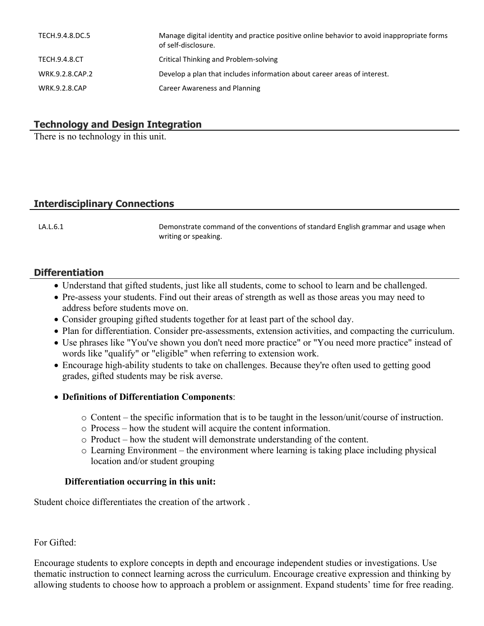| TECH.9.4.8.DC.5      | Manage digital identity and practice positive online behavior to avoid inappropriate forms<br>of self-disclosure. |
|----------------------|-------------------------------------------------------------------------------------------------------------------|
| TECH.9.4.8.CT        | Critical Thinking and Problem-solving                                                                             |
| WRK.9.2.8.CAP.2      | Develop a plan that includes information about career areas of interest.                                          |
| <b>WRK.9.2.8.CAP</b> | Career Awareness and Planning                                                                                     |

#### **Technology and Design Integration**

There is no technology in this unit.

## **Interdisciplinary Connections**

LA.L.6.1 Demonstrate command of the conventions of standard English grammar and usage when writing or speaking.

#### **Differentiation**

- Understand that gifted students, just like all students, come to school to learn and be challenged.
- Pre-assess your students. Find out their areas of strength as well as those areas you may need to address before students move on.
- Consider grouping gifted students together for at least part of the school day.
- Plan for differentiation. Consider pre-assessments, extension activities, and compacting the curriculum.
- Use phrases like "You've shown you don't need more practice" or "You need more practice" instead of words like "qualify" or "eligible" when referring to extension work.
- Encourage high-ability students to take on challenges. Because they're often used to getting good grades, gifted students may be risk averse.

#### **Definitions of Differentiation Components**:

- o Content the specific information that is to be taught in the lesson/unit/course of instruction.
- o Process how the student will acquire the content information.
- o Product how the student will demonstrate understanding of the content.
- o Learning Environment the environment where learning is taking place including physical location and/or student grouping

#### **Differentiation occurring in this unit:**

Student choice differentiates the creation of the artwork .

For Gifted:

Encourage students to explore concepts in depth and encourage independent studies or investigations. Use thematic instruction to connect learning across the curriculum. Encourage creative expression and thinking by allowing students to choose how to approach a problem or assignment. Expand students' time for free reading.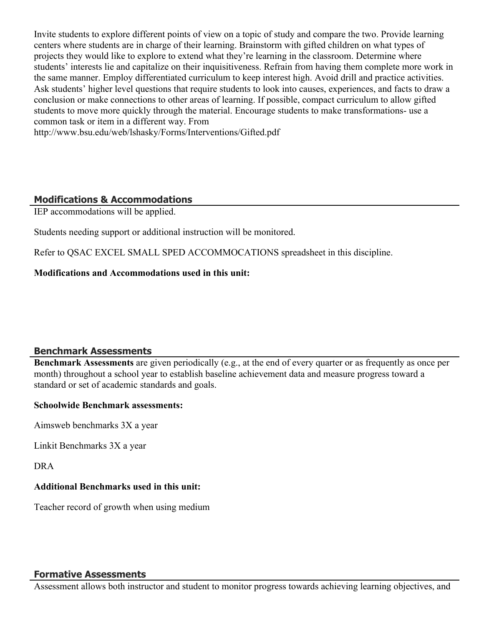Invite students to explore different points of view on a topic of study and compare the two. Provide learning centers where students are in charge of their learning. Brainstorm with gifted children on what types of projects they would like to explore to extend what they're learning in the classroom. Determine where students' interests lie and capitalize on their inquisitiveness. Refrain from having them complete more work in the same manner. Employ differentiated curriculum to keep interest high. Avoid drill and practice activities. Ask students' higher level questions that require students to look into causes, experiences, and facts to draw a conclusion or make connections to other areas of learning. If possible, compact curriculum to allow gifted students to move more quickly through the material. Encourage students to make transformations- use a common task or item in a different way. From

http://www.bsu.edu/web/lshasky/Forms/Interventions/Gifted.pdf

### **Modifications & Accommodations**

IEP accommodations will be applied.

Students needing support or additional instruction will be monitored.

Refer to QSAC EXCEL SMALL SPED ACCOMMOCATIONS spreadsheet in this discipline.

**Modifications and Accommodations used in this unit:**

## **Benchmark Assessments**

**Benchmark Assessments** are given periodically (e.g., at the end of every quarter or as frequently as once per month) throughout a school year to establish baseline achievement data and measure progress toward a standard or set of academic standards and goals.

#### **Schoolwide Benchmark assessments:**

Aimsweb benchmarks 3X a year

Linkit Benchmarks 3X a year

DRA

#### **Additional Benchmarks used in this unit:**

Teacher record of growth when using medium

#### **Formative Assessments**

Assessment allows both instructor and student to monitor progress towards achieving learning objectives, and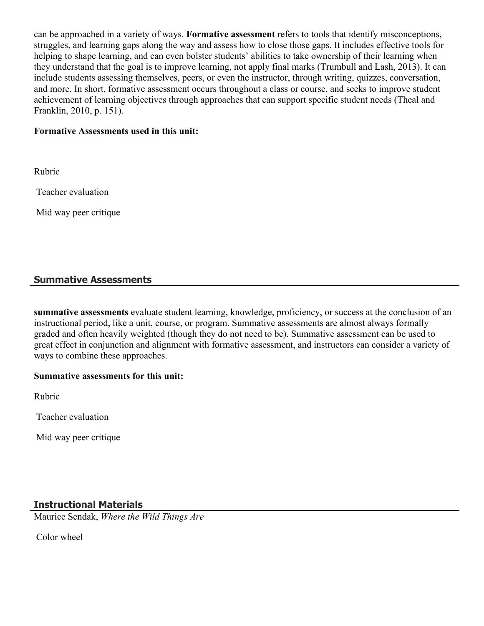can be approached in a variety of ways. **Formative assessment** refers to tools that identify misconceptions, struggles, and learning gaps along the way and assess how to close those gaps. It includes effective tools for helping to shape learning, and can even bolster students' abilities to take ownership of their learning when they understand that the goal is to improve learning, not apply final marks (Trumbull and Lash, 2013). It can include students assessing themselves, peers, or even the instructor, through writing, quizzes, conversation, and more. In short, formative assessment occurs throughout a class or course, and seeks to improve student achievement of learning objectives through approaches that can support specific student needs (Theal and Franklin, 2010, p. 151).

#### **Formative Assessments used in this unit:**

Rubric

Teacher evaluation

Mid way peer critique

#### **Summative Assessments**

**summative assessments** evaluate student learning, knowledge, proficiency, or success at the conclusion of an instructional period, like a unit, course, or program. Summative assessments are almost always formally graded and often heavily weighted (though they do not need to be). Summative assessment can be used to great effect in conjunction and alignment with formative assessment, and instructors can consider a variety of ways to combine these approaches.

#### **Summative assessments for this unit:**

Rubric

Teacher evaluation

Mid way peer critique

#### **Instructional Materials**

Maurice Sendak, *Where the Wild Things Are*

Color wheel